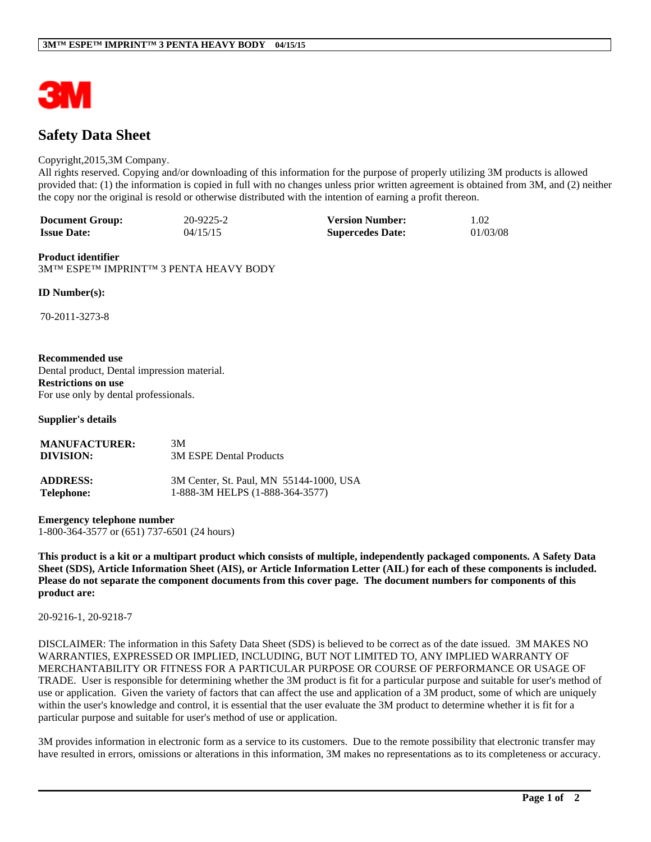

# **Safety Data Sheet**

#### Copyright,2015,3M Company.

All rights reserved. Copying and/or downloading of this information for the purpose of properly utilizing 3M products is allowed provided that: (1) the information is copied in full with no changes unless prior written agreement is obtained from 3M, and (2) neither the copy nor the original is resold or otherwise distributed with the intention of earning a profit thereon.

| <b>Document Group:</b> | 20-9225-2 | <b>Version Number:</b>  | 1.02     |
|------------------------|-----------|-------------------------|----------|
| <b>Issue Date:</b>     | 04/15/15  | <b>Supercedes Date:</b> | 01/03/08 |

#### **Product identifier**

3M™ ESPE™ IMPRINT™ 3 PENTA HEAVY BODY

**ID Number(s):**

70-2011-3273-8

#### **Recommended use**

Dental product, Dental impression material. **Restrictions on use** For use only by dental professionals.

**Supplier's details**

| <b>MANUFACTURER:</b> | 3M                                      |
|----------------------|-----------------------------------------|
| DIVISION:            | 3M ESPE Dental Products                 |
| <b>ADDRESS:</b>      | 3M Center, St. Paul, MN 55144-1000, USA |
| <b>Telephone:</b>    | 1-888-3M HELPS (1-888-364-3577)         |

**Emergency telephone number** 1-800-364-3577 or (651) 737-6501 (24 hours)

**This product is a kit or a multipart product which consists of multiple, independently packaged components. A Safety Data Sheet (SDS), Article Information Sheet (AIS), or Article Information Letter (AIL) for each of these components is included. Please do not separate the component documents from this cover page. The document numbers for components of this product are:** 

20-9216-1, 20-9218-7

DISCLAIMER: The information in this Safety Data Sheet (SDS) is believed to be correct as of the date issued. 3M MAKES NO WARRANTIES, EXPRESSED OR IMPLIED, INCLUDING, BUT NOT LIMITED TO, ANY IMPLIED WARRANTY OF MERCHANTABILITY OR FITNESS FOR A PARTICULAR PURPOSE OR COURSE OF PERFORMANCE OR USAGE OF TRADE. User is responsible for determining whether the 3M product is fit for a particular purpose and suitable for user's method of use or application. Given the variety of factors that can affect the use and application of a 3M product, some of which are uniquely within the user's knowledge and control, it is essential that the user evaluate the 3M product to determine whether it is fit for a particular purpose and suitable for user's method of use or application.

3M provides information in electronic form as a service to its customers. Due to the remote possibility that electronic transfer may have resulted in errors, omissions or alterations in this information, 3M makes no representations as to its completeness or accuracy.

**\_\_\_\_\_\_\_\_\_\_\_\_\_\_\_\_\_\_\_\_\_\_\_\_\_\_\_\_\_\_\_\_\_\_\_\_\_\_\_\_\_\_\_\_\_\_\_\_\_\_\_\_\_\_\_\_\_\_\_\_\_\_\_\_\_\_\_\_\_\_\_\_\_\_\_\_\_\_\_\_\_\_\_\_\_\_\_\_\_\_\_\_\_\_\_\_\_\_\_\_\_\_\_\_**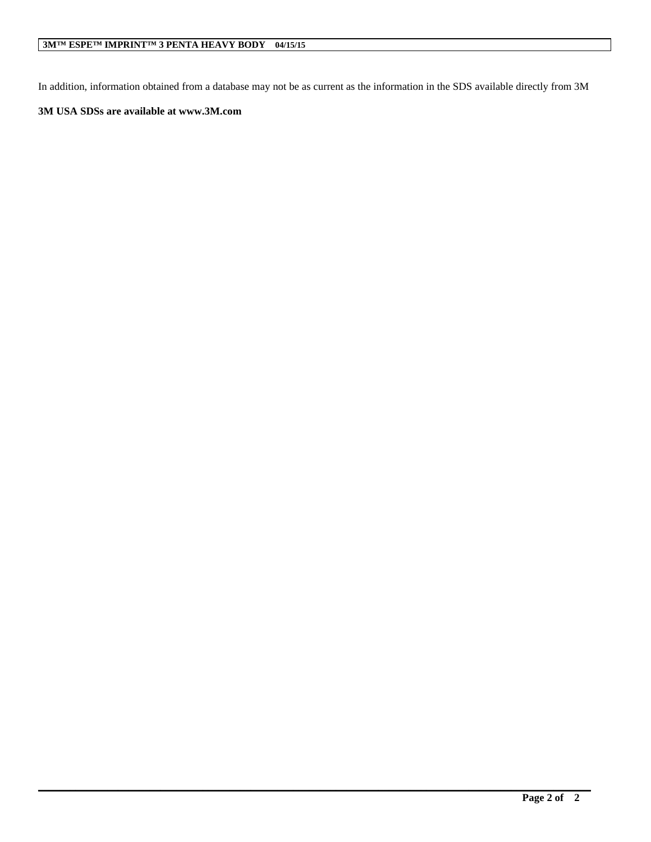In addition, information obtained from a database may not be as current as the information in the SDS available directly from 3M

**\_\_\_\_\_\_\_\_\_\_\_\_\_\_\_\_\_\_\_\_\_\_\_\_\_\_\_\_\_\_\_\_\_\_\_\_\_\_\_\_\_\_\_\_\_\_\_\_\_\_\_\_\_\_\_\_\_\_\_\_\_\_\_\_\_\_\_\_\_\_\_\_\_\_\_\_\_\_\_\_\_\_\_\_\_\_\_\_\_\_\_\_\_\_\_\_\_\_\_\_\_\_\_\_**

# **3M USA SDSs are available at www.3M.com**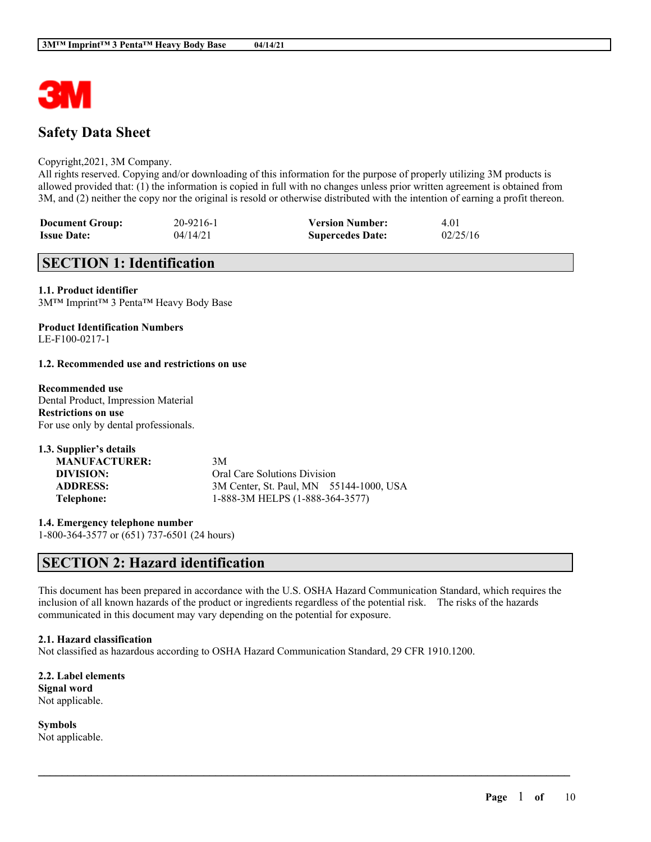

# **Safety Data Sheet**

#### Copyright,2021, 3M Company.

All rights reserved. Copying and/or downloading of this information for the purpose of properly utilizing 3M products is allowed provided that: (1) the information is copied in full with no changes unless prior written agreement is obtained from 3M, and (2) neither the copy nor the original is resold or otherwise distributed with the intention of earning a profit thereon.

| <b>Document Group:</b> | 20-9216-1 | <b>Version Number:</b>  | 4.01     |
|------------------------|-----------|-------------------------|----------|
| <b>Issue Date:</b>     | 04/14/21  | <b>Supercedes Date:</b> | 02/25/16 |

# **SECTION 1: Identification**

**1.1. Product identifier** 3M™ Imprint™ 3 Penta™ Heavy Body Base

#### **Product Identification Numbers** LE-F100-0217-1

#### **1.2. Recommended use and restrictions on use**

**Recommended use** Dental Product, Impression Material **Restrictions on use** For use only by dental professionals.

| 1.3. Supplier's details |                                         |
|-------------------------|-----------------------------------------|
| <b>MANUFACTURER:</b>    | 3M                                      |
| DIVISION:               | <b>Oral Care Solutions Division</b>     |
| <b>ADDRESS:</b>         | 3M Center, St. Paul, MN 55144-1000, USA |
| Telephone:              | 1-888-3M HELPS (1-888-364-3577)         |

**1.4. Emergency telephone number** 1-800-364-3577 or (651) 737-6501 (24 hours)

# **SECTION 2: Hazard identification**

This document has been prepared in accordance with the U.S. OSHA Hazard Communication Standard, which requires the inclusion of all known hazards of the product or ingredients regardless of the potential risk. The risks of the hazards communicated in this document may vary depending on the potential for exposure.

 $\mathcal{L}_\mathcal{L} = \mathcal{L}_\mathcal{L} = \mathcal{L}_\mathcal{L} = \mathcal{L}_\mathcal{L} = \mathcal{L}_\mathcal{L} = \mathcal{L}_\mathcal{L} = \mathcal{L}_\mathcal{L} = \mathcal{L}_\mathcal{L} = \mathcal{L}_\mathcal{L} = \mathcal{L}_\mathcal{L} = \mathcal{L}_\mathcal{L} = \mathcal{L}_\mathcal{L} = \mathcal{L}_\mathcal{L} = \mathcal{L}_\mathcal{L} = \mathcal{L}_\mathcal{L} = \mathcal{L}_\mathcal{L} = \mathcal{L}_\mathcal{L}$ 

#### **2.1. Hazard classification**

Not classified as hazardous according to OSHA Hazard Communication Standard, 29 CFR 1910.1200.

**2.2. Label elements Signal word** Not applicable.

**Symbols** Not applicable.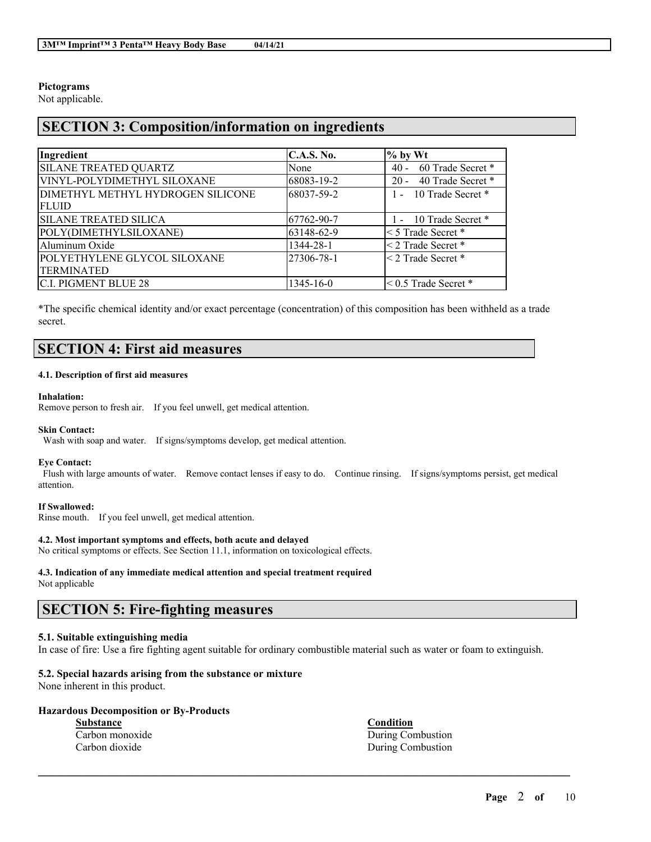# **Pictograms**

Not applicable.

# **SECTION 3: Composition/information on ingredients**

| Ingredient                        | C.A.S. No. | $\%$ by Wt                  |
|-----------------------------------|------------|-----------------------------|
| <b>SILANE TREATED QUARTZ</b>      | None       | 60 Trade Secret *<br>$40 -$ |
| VINYL-POLYDIMETHYL SILOXANE       | 68083-19-2 | 40 Trade Secret *<br>$20 -$ |
| DIMETHYL METHYL HYDROGEN SILICONE | 68037-59-2 | 1 - 10 Trade Secret *       |
| <b>FLUID</b>                      |            |                             |
| <b>SILANE TREATED SILICA</b>      | 67762-90-7 | 1 - 10 Trade Secret *       |
| POLY(DIMETHYLSILOXANE)            | 63148-62-9 | < 5 Trade Secret *          |
| Aluminum Oxide                    | 1344-28-1  | < 2 Trade Secret *          |
| POLYETHYLENE GLYCOL SILOXANE      | 27306-78-1 | $\leq$ 2 Trade Secret $*$   |
| <b>TERMINATED</b>                 |            |                             |
| IC.I. PIGMENT BLUE 28             | 1345-16-0  | $\leq$ 0.5 Trade Secret $*$ |

\*The specific chemical identity and/or exact percentage (concentration) of this composition has been withheld as a trade secret.

# **SECTION 4: First aid measures**

#### **4.1. Description of first aid measures**

#### **Inhalation:**

Remove person to fresh air. If you feel unwell, get medical attention.

#### **Skin Contact:**

Wash with soap and water. If signs/symptoms develop, get medical attention.

#### **Eye Contact:**

Flush with large amounts of water. Remove contact lenses if easy to do. Continue rinsing. If signs/symptoms persist, get medical attention.

#### **If Swallowed:**

Rinse mouth. If you feel unwell, get medical attention.

#### **4.2. Most important symptoms and effects, both acute and delayed**

No critical symptoms or effects. See Section 11.1, information on toxicological effects.

# **4.3. Indication of any immediate medical attention and special treatment required**

Not applicable

# **SECTION 5: Fire-fighting measures**

# **5.1. Suitable extinguishing media**

In case of fire: Use a fire fighting agent suitable for ordinary combustible material such as water or foam to extinguish.

 $\mathcal{L}_\mathcal{L} = \mathcal{L}_\mathcal{L} = \mathcal{L}_\mathcal{L} = \mathcal{L}_\mathcal{L} = \mathcal{L}_\mathcal{L} = \mathcal{L}_\mathcal{L} = \mathcal{L}_\mathcal{L} = \mathcal{L}_\mathcal{L} = \mathcal{L}_\mathcal{L} = \mathcal{L}_\mathcal{L} = \mathcal{L}_\mathcal{L} = \mathcal{L}_\mathcal{L} = \mathcal{L}_\mathcal{L} = \mathcal{L}_\mathcal{L} = \mathcal{L}_\mathcal{L} = \mathcal{L}_\mathcal{L} = \mathcal{L}_\mathcal{L}$ 

# **5.2. Special hazards arising from the substance or mixture**

None inherent in this product.

## **Hazardous Decomposition or By-Products**

**Substance Condition**

Carbon monoxide During Combustion Carbon dioxide During Combustion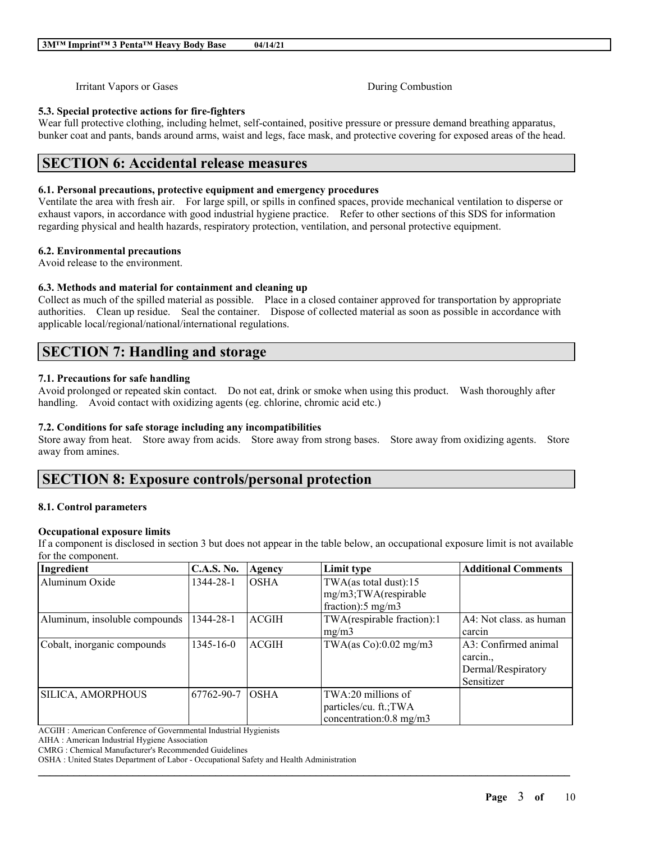Irritant Vapors or Gases During Combustion

# **5.3. Special protective actions for fire-fighters**

Wear full protective clothing, including helmet, self-contained, positive pressure or pressure demand breathing apparatus, bunker coat and pants, bands around arms, waist and legs, face mask, and protective covering for exposed areas of the head.

# **SECTION 6: Accidental release measures**

## **6.1. Personal precautions, protective equipment and emergency procedures**

Ventilate the area with fresh air. For large spill, or spills in confined spaces, provide mechanical ventilation to disperse or exhaust vapors, in accordance with good industrial hygiene practice. Refer to other sections of this SDS for information regarding physical and health hazards, respiratory protection, ventilation, and personal protective equipment.

## **6.2. Environmental precautions**

Avoid release to the environment.

# **6.3. Methods and material for containment and cleaning up**

Collect as much of the spilled material as possible. Place in a closed container approved for transportation by appropriate authorities. Clean up residue. Seal the container. Dispose of collected material as soon as possible in accordance with applicable local/regional/national/international regulations.

# **SECTION 7: Handling and storage**

## **7.1. Precautions for safe handling**

Avoid prolonged or repeated skin contact. Do not eat, drink or smoke when using this product. Wash thoroughly after handling. Avoid contact with oxidizing agents (eg. chlorine, chromic acid etc.)

# **7.2. Conditions for safe storage including any incompatibilities**

Store away from heat. Store away from acids. Store away from strong bases. Store away from oxidizing agents. Store away from amines.

# **SECTION 8: Exposure controls/personal protection**

## **8.1. Control parameters**

## **Occupational exposure limits**

If a component is disclosed in section 3 but does not appear in the table below, an occupational exposure limit is not available for the component.

| Ingredient                    | <b>C.A.S. No.</b> | Agency       | Limit type                    | <b>Additional Comments</b> |
|-------------------------------|-------------------|--------------|-------------------------------|----------------------------|
| Aluminum Oxide                | 1344-28-1         | <b>OSHA</b>  | TWA(as total dust):15         |                            |
|                               |                   |              | mg/m3;TWA(respirable          |                            |
|                               |                   |              | fraction): $5 \text{ mg/m}$ 3 |                            |
| Aluminum, insoluble compounds | 1344-28-1         | <b>ACGIH</b> | TWA(respirable fraction):1    | A4: Not class, as human    |
|                               |                   |              | mg/m3                         | carcin                     |
| Cobalt, inorganic compounds   | $1345 - 16 - 0$   | <b>ACGIH</b> | TWA(as $Co$ ):0.02 mg/m3      | A3: Confirmed animal       |
|                               |                   |              |                               | carcin                     |
|                               |                   |              |                               | Dermal/Respiratory         |
|                               |                   |              |                               | Sensitizer                 |
| SILICA, AMORPHOUS             | 67762-90-7        | <b>OSHA</b>  | TWA:20 millions of            |                            |
|                               |                   |              | particles/cu. ft.;TWA         |                            |
|                               |                   |              | concentration:0.8 mg/m3       |                            |

 $\mathcal{L}_\mathcal{L} = \mathcal{L}_\mathcal{L} = \mathcal{L}_\mathcal{L} = \mathcal{L}_\mathcal{L} = \mathcal{L}_\mathcal{L} = \mathcal{L}_\mathcal{L} = \mathcal{L}_\mathcal{L} = \mathcal{L}_\mathcal{L} = \mathcal{L}_\mathcal{L} = \mathcal{L}_\mathcal{L} = \mathcal{L}_\mathcal{L} = \mathcal{L}_\mathcal{L} = \mathcal{L}_\mathcal{L} = \mathcal{L}_\mathcal{L} = \mathcal{L}_\mathcal{L} = \mathcal{L}_\mathcal{L} = \mathcal{L}_\mathcal{L}$ 

ACGIH : American Conference of Governmental Industrial Hygienists

AIHA : American Industrial Hygiene Association

CMRG : Chemical Manufacturer's Recommended Guidelines

OSHA : United States Department of Labor - Occupational Safety and Health Administration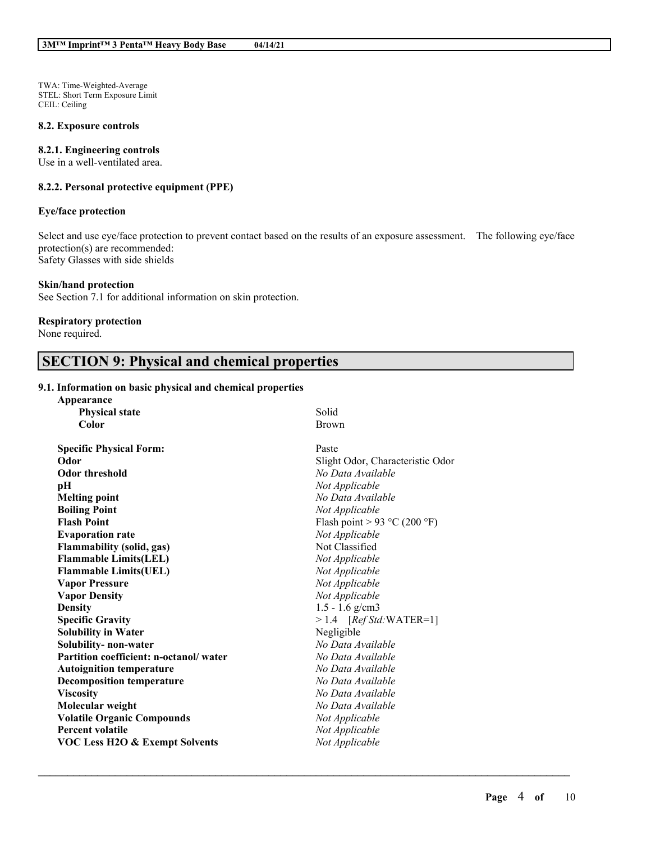TWA: Time-Weighted-Average STEL: Short Term Exposure Limit CEIL: Ceiling

#### **8.2. Exposure controls**

## **8.2.1. Engineering controls**

Use in a well-ventilated area.

# **8.2.2. Personal protective equipment (PPE)**

## **Eye/face protection**

Select and use eye/face protection to prevent contact based on the results of an exposure assessment. The following eye/face protection(s) are recommended: Safety Glasses with side shields

#### **Skin/hand protection**

See Section 7.1 for additional information on skin protection.

## **Respiratory protection**

None required.

# **SECTION 9: Physical and chemical properties**

#### **9.1. Information on basic physical and chemical properties**

| Appearance                                |                                  |
|-------------------------------------------|----------------------------------|
| <b>Physical state</b>                     | Solid                            |
| Color                                     | <b>Brown</b>                     |
| <b>Specific Physical Form:</b>            | Paste                            |
| Odor                                      | Slight Odor, Characteristic Odor |
| <b>Odor threshold</b>                     | No Data Available                |
| pН                                        | Not Applicable                   |
| <b>Melting point</b>                      | No Data Available                |
| <b>Boiling Point</b>                      | Not Applicable                   |
| <b>Flash Point</b>                        | Flash point > 93 °C (200 °F)     |
| <b>Evaporation rate</b>                   | Not Applicable                   |
| <b>Flammability (solid, gas)</b>          | Not Classified                   |
| <b>Flammable Limits(LEL)</b>              | Not Applicable                   |
| <b>Flammable Limits(UEL)</b>              | Not Applicable                   |
| <b>Vapor Pressure</b>                     | Not Applicable                   |
| <b>Vapor Density</b>                      | Not Applicable                   |
| <b>Density</b>                            | $1.5 - 1.6$ g/cm3                |
| <b>Specific Gravity</b>                   | $> 1.4$ [Ref Std:WATER=1]        |
| <b>Solubility in Water</b>                | Negligible                       |
| Solubility-non-water                      | No Data Available                |
| Partition coefficient: n-octanol/water    | No Data Available                |
| <b>Autoignition temperature</b>           | No Data Available                |
| <b>Decomposition temperature</b>          | No Data Available                |
| <b>Viscosity</b>                          | No Data Available                |
| Molecular weight                          | No Data Available                |
| <b>Volatile Organic Compounds</b>         | Not Applicable                   |
| <b>Percent volatile</b>                   | Not Applicable                   |
| <b>VOC Less H2O &amp; Exempt Solvents</b> | Not Applicable                   |
|                                           |                                  |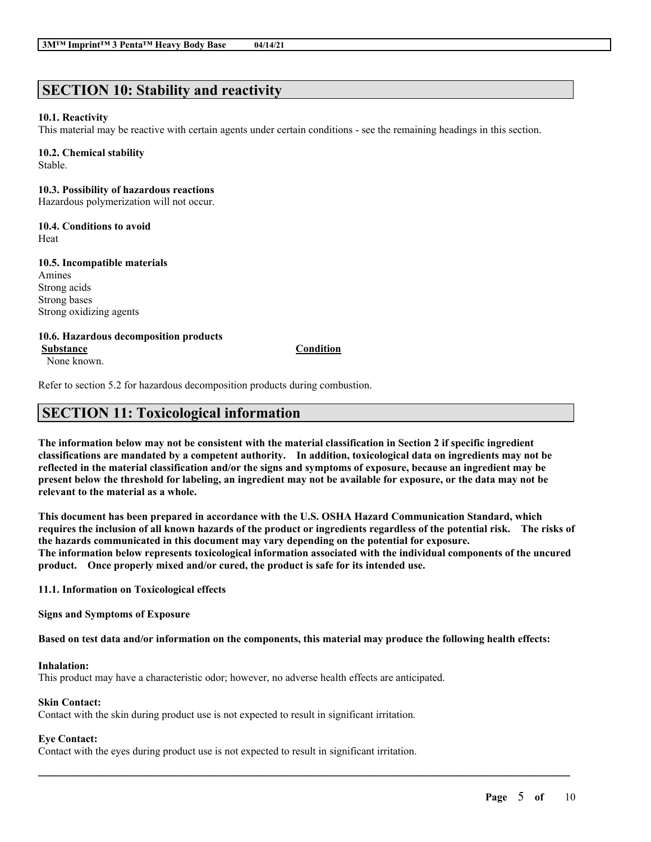# **SECTION 10: Stability and reactivity**

## **10.1. Reactivity**

This material may be reactive with certain agents under certain conditions - see the remaining headings in this section.

### **10.2. Chemical stability**

Stable.

# **10.3. Possibility of hazardous reactions**

Hazardous polymerization will not occur.

# **10.4. Conditions to avoid**

Heat

## **10.5. Incompatible materials**

Amines Strong acids Strong bases Strong oxidizing agents

**10.6. Hazardous decomposition products**

None known.

**Substance Condition**

Refer to section 5.2 for hazardous decomposition products during combustion.

# **SECTION 11: Toxicological information**

The information below may not be consistent with the material classification in Section 2 if specific ingredient **classifications are mandated by a competent authority. In addition, toxicological data on ingredients may not be** reflected in the material classification and/or the signs and symptoms of exposure, because an ingredient may be present below the threshold for labeling, an ingredient may not be available for exposure, or the data may not be **relevant to the material as a whole.**

**This document has been prepared in accordance with the U.S. OSHA Hazard Communication Standard, which** requires the inclusion of all known hazards of the product or ingredients regardless of the potential risk. The risks of **the hazards communicated in this document may vary depending on the potential for exposure. The information below represents toxicological information associated with the individual components of the uncured product. Once properly mixed and/or cured, the product is safe for its intended use.**

**11.1. Information on Toxicological effects**

**Signs and Symptoms of Exposure**

Based on test data and/or information on the components, this material may produce the following health effects:

 $\mathcal{L}_\mathcal{L} = \mathcal{L}_\mathcal{L} = \mathcal{L}_\mathcal{L} = \mathcal{L}_\mathcal{L} = \mathcal{L}_\mathcal{L} = \mathcal{L}_\mathcal{L} = \mathcal{L}_\mathcal{L} = \mathcal{L}_\mathcal{L} = \mathcal{L}_\mathcal{L} = \mathcal{L}_\mathcal{L} = \mathcal{L}_\mathcal{L} = \mathcal{L}_\mathcal{L} = \mathcal{L}_\mathcal{L} = \mathcal{L}_\mathcal{L} = \mathcal{L}_\mathcal{L} = \mathcal{L}_\mathcal{L} = \mathcal{L}_\mathcal{L}$ 

## **Inhalation:**

This product may have a characteristic odor; however, no adverse health effects are anticipated.

## **Skin Contact:**

Contact with the skin during product use is not expected to result in significant irritation.

# **Eye Contact:**

Contact with the eyes during product use is not expected to result in significant irritation.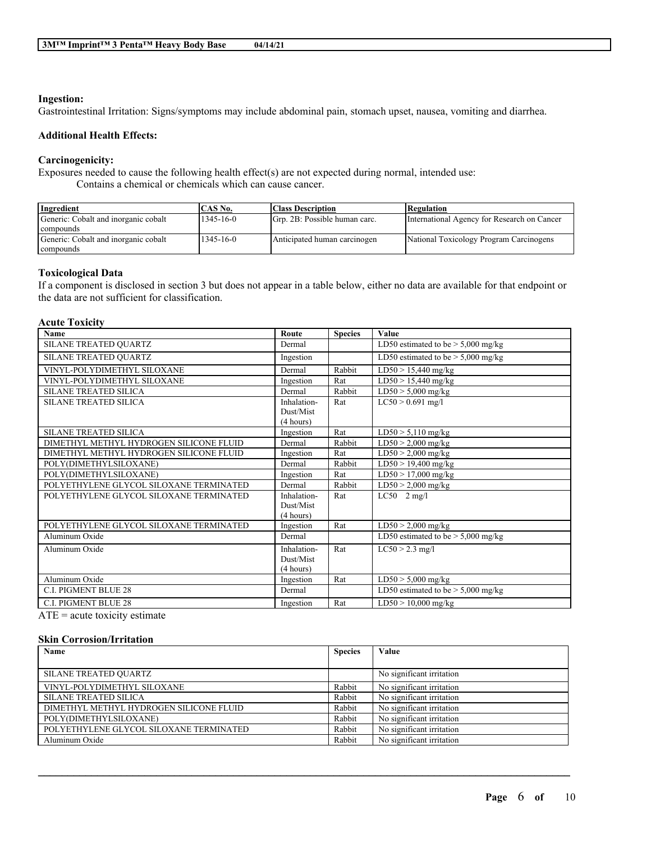#### **Ingestion:**

Gastrointestinal Irritation: Signs/symptoms may include abdominal pain, stomach upset, nausea, vomiting and diarrhea.

# **Additional Health Effects:**

## **Carcinogenicity:**

Exposures needed to cause the following health effect(s) are not expected during normal, intended use:

Contains a chemical or chemicals which can cause cancer.

| Ingredient                           | CAS No.         | <b>Class Description</b>      | Regulation                                  |
|--------------------------------------|-----------------|-------------------------------|---------------------------------------------|
| Generic: Cobalt and inorganic cobalt | $1345 - 16 - 0$ | Grp. 2B: Possible human carc. | International Agency for Research on Cancer |
| compounds                            |                 |                               |                                             |
| Generic: Cobalt and inorganic cobalt | $1345 - 16 - 0$ | Anticipated human carcinogen  | National Toxicology Program Carcinogens     |
| compounds                            |                 |                               |                                             |

## **Toxicological Data**

If a component is disclosed in section 3 but does not appear in a table below, either no data are available for that endpoint or the data are not sufficient for classification.

# **Acute Toxicity**

| Name                                    | Route       | <b>Species</b> | Value                                |
|-----------------------------------------|-------------|----------------|--------------------------------------|
| SILANE TREATED QUARTZ                   | Dermal      |                | LD50 estimated to be $> 5,000$ mg/kg |
| SILANE TREATED QUARTZ                   | Ingestion   |                | LD50 estimated to be $>$ 5,000 mg/kg |
| VINYL-POLYDIMETHYL SILOXANE             | Dermal      | Rabbit         | $LD50 > 15,440$ mg/kg                |
| VINYL-POLYDIMETHYL SILOXANE             | Ingestion   | Rat            | $LD50 > 15,440$ mg/kg                |
| <b>SILANE TREATED SILICA</b>            | Dermal      | Rabbit         | $LD50 > 5,000$ mg/kg                 |
| <b>SILANE TREATED SILICA</b>            | Inhalation- | Rat            | $LC50 > 0.691$ mg/l                  |
|                                         | Dust/Mist   |                |                                      |
|                                         | (4 hours)   |                |                                      |
| <b>SILANE TREATED SILICA</b>            | Ingestion   | Rat            | $LD50 > 5,110$ mg/kg                 |
| DIMETHYL METHYL HYDROGEN SILICONE FLUID | Dermal      | Rabbit         | $LD50 > 2,000$ mg/kg                 |
| DIMETHYL METHYL HYDROGEN SILICONE FLUID | Ingestion   | Rat            | $LD50 > 2,000$ mg/kg                 |
| POLY(DIMETHYLSILOXANE)                  | Dermal      | Rabbit         | $LD50 > 19,400$ mg/kg                |
| POLY(DIMETHYLSILOXANE)                  | Ingestion   | Rat            | $LD50 > 17,000$ mg/kg                |
| POLYETHYLENE GLYCOL SILOXANE TERMINATED | Dermal      | Rabbit         | $LD50 > 2,000$ mg/kg                 |
| POLYETHYLENE GLYCOL SILOXANE TERMINATED | Inhalation- | Rat            | $LC50$ 2 mg/l                        |
|                                         | Dust/Mist   |                |                                      |
|                                         | (4 hours)   |                |                                      |
| POLYETHYLENE GLYCOL SILOXANE TERMINATED | Ingestion   | Rat            | $LD50 > 2,000$ mg/kg                 |
| Aluminum Oxide                          | Dermal      |                | LD50 estimated to be $> 5,000$ mg/kg |
| Aluminum Oxide                          | Inhalation- | Rat            | $LC50 > 2.3$ mg/l                    |
|                                         | Dust/Mist   |                |                                      |
|                                         | (4 hours)   |                |                                      |
| Aluminum Oxide                          | Ingestion   | Rat            | $LD50 > 5,000$ mg/kg                 |
| <b>C.I. PIGMENT BLUE 28</b>             | Dermal      |                | LD50 estimated to be $>$ 5,000 mg/kg |
| <b>C.I. PIGMENT BLUE 28</b>             | Ingestion   | Rat            | $LD50 > 10,000$ mg/kg                |

 $ATE = acute$  toxicity estimate

#### **Skin Corrosion/Irritation**

| Name                                    | <b>Species</b> | Value                     |
|-----------------------------------------|----------------|---------------------------|
|                                         |                |                           |
| <b>SILANE TREATED QUARTZ</b>            |                | No significant irritation |
| VINYL-POLYDIMETHYL SILOXANE             | Rabbit         | No significant irritation |
| <b>SILANE TREATED SILICA</b>            | Rabbit         | No significant irritation |
| DIMETHYL METHYL HYDROGEN SILICONE FLUID | Rabbit         | No significant irritation |
| POLY(DIMETHYLSILOXANE)                  | Rabbit         | No significant irritation |
| POLYETHYLENE GLYCOL SILOXANE TERMINATED | Rabbit         | No significant irritation |
| Aluminum Oxide                          | Rabbit         | No significant irritation |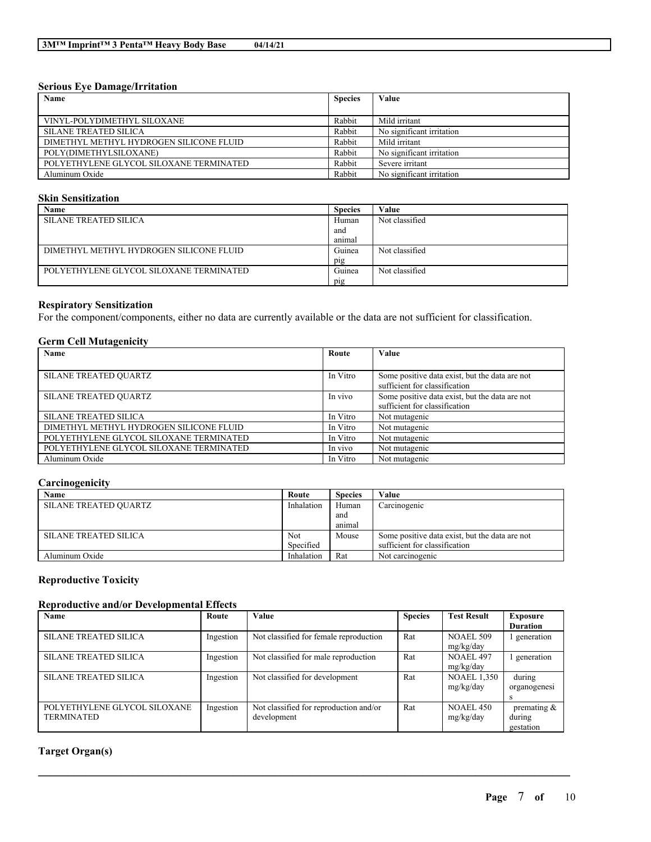## **Serious Eye Damage/Irritation**

| Name                                    | <b>Species</b> | Value                     |
|-----------------------------------------|----------------|---------------------------|
|                                         |                |                           |
| VINYL-POLYDIMETHYL SILOXANE             | Rabbit         | Mild irritant             |
| <b>SILANE TREATED SILICA</b>            | Rabbit         | No significant irritation |
| DIMETHYL METHYL HYDROGEN SILICONE FLUID | Rabbit         | Mild irritant             |
| POLY(DIMETHYLSILOXANE)                  | Rabbit         | No significant irritation |
| POLYETHYLENE GLYCOL SILOXANE TERMINATED | Rabbit         | Severe irritant           |
| Aluminum Oxide                          | Rabbit         | No significant irritation |

# **Skin Sensitization**

| Name                                    | <b>Species</b> | √alue          |
|-----------------------------------------|----------------|----------------|
| SILANE TREATED SILICA                   | Human          | Not classified |
|                                         | and            |                |
|                                         | anımal         |                |
| DIMETHYL METHYL HYDROGEN SILICONE FLUID | Guinea         | Not classified |
|                                         | pig            |                |
| POLYETHYLENE GLYCOL SILOXANE TERMINATED | Guinea         | Not classified |
|                                         | pig            |                |

# **Respiratory Sensitization**

For the component/components, either no data are currently available or the data are not sufficient for classification.

# **Germ Cell Mutagenicity**

| Name                                    | Route    | Value                                                                           |
|-----------------------------------------|----------|---------------------------------------------------------------------------------|
|                                         |          |                                                                                 |
| <b>SILANE TREATED QUARTZ</b>            | In Vitro | Some positive data exist, but the data are not<br>sufficient for classification |
| <b>SILANE TREATED QUARTZ</b>            | In vivo  | Some positive data exist, but the data are not<br>sufficient for classification |
| <b>SILANE TREATED SILICA</b>            | In Vitro | Not mutagenic                                                                   |
| DIMETHYL METHYL HYDROGEN SILICONE FLUID | In Vitro | Not mutagenic                                                                   |
| POLYETHYLENE GLYCOL SILOXANE TERMINATED | In Vitro | Not mutagenic                                                                   |
| POLYETHYLENE GLYCOL SILOXANE TERMINATED | In vivo  | Not mutagenic                                                                   |
| Aluminum Oxide                          | In Vitro | Not mutagenic                                                                   |

# **Carcinogenicity**

| Name                         | Route      | <b>Species</b> | Value                                          |
|------------------------------|------------|----------------|------------------------------------------------|
| <b>SILANE TREATED QUARTZ</b> | Inhalation | Human          | Carcinogenic                                   |
|                              |            | and            |                                                |
|                              |            | animal         |                                                |
| SILANE TREATED SILICA        | Not        | Mouse          | Some positive data exist, but the data are not |
|                              | Specified  |                | sufficient for classification                  |
| Aluminum Oxide               | Inhalation | Rat            | Not carcinogenic                               |

# **Reproductive Toxicity**

## **Reproductive and/or Developmental Effects**

| Name                         | Route     | <b>Value</b>                           | <b>Species</b> | <b>Test Result</b> | Exposure        |
|------------------------------|-----------|----------------------------------------|----------------|--------------------|-----------------|
|                              |           |                                        |                |                    | <b>Duration</b> |
| <b>SILANE TREATED SILICA</b> | Ingestion | Not classified for female reproduction | Rat            | NOAEL 509          | generation      |
|                              |           |                                        |                | mg/kg/day          |                 |
| <b>SILANE TREATED SILICA</b> | Ingestion | Not classified for male reproduction   | Rat            | <b>NOAEL 497</b>   | generation      |
|                              |           |                                        |                | mg/kg/day          |                 |
| <b>SILANE TREATED SILICA</b> | Ingestion | Not classified for development         | Rat            | <b>NOAEL 1,350</b> | during          |
|                              |           |                                        |                | mg/kg/day          | organogenesi    |
|                              |           |                                        |                |                    | $\mathcal{L}$   |
| POLYETHYLENE GLYCOL SILOXANE | Ingestion | Not classified for reproduction and/or | Rat            | <b>NOAEL 450</b>   | premating $\&$  |
| <b>TERMINATED</b>            |           | development                            |                | mg/kg/day          | during          |
|                              |           |                                        |                |                    | gestation       |

 $\mathcal{L}_\mathcal{L} = \mathcal{L}_\mathcal{L} = \mathcal{L}_\mathcal{L} = \mathcal{L}_\mathcal{L} = \mathcal{L}_\mathcal{L} = \mathcal{L}_\mathcal{L} = \mathcal{L}_\mathcal{L} = \mathcal{L}_\mathcal{L} = \mathcal{L}_\mathcal{L} = \mathcal{L}_\mathcal{L} = \mathcal{L}_\mathcal{L} = \mathcal{L}_\mathcal{L} = \mathcal{L}_\mathcal{L} = \mathcal{L}_\mathcal{L} = \mathcal{L}_\mathcal{L} = \mathcal{L}_\mathcal{L} = \mathcal{L}_\mathcal{L}$ 

# **Target Organ(s)**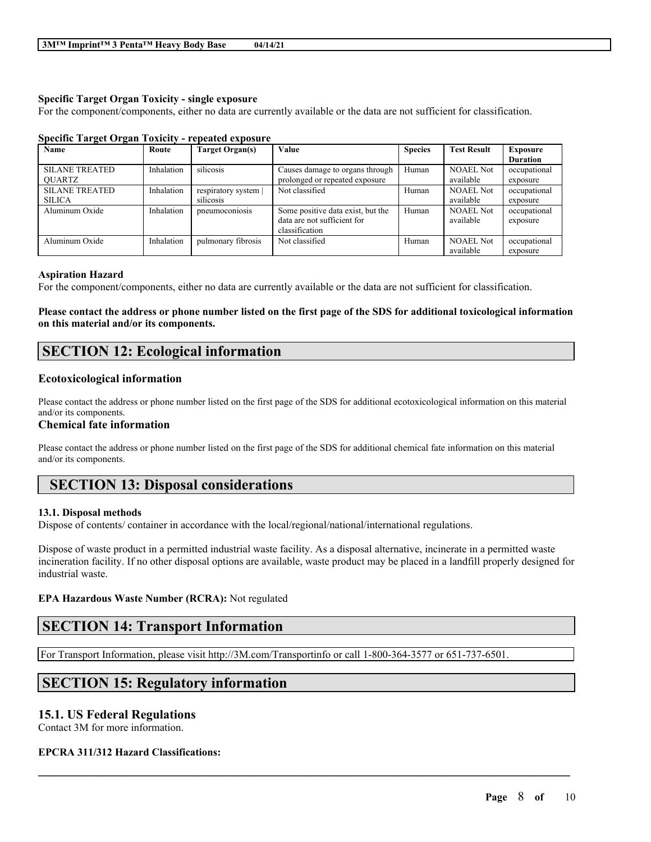# **Specific Target Organ Toxicity - single exposure**

For the component/components, either no data are currently available or the data are not sufficient for classification.

| <b>Name</b>           | Route      | Target Organ(s)    | Value                             | <b>Species</b> | <b>Test Result</b> | <b>Exposure</b> |
|-----------------------|------------|--------------------|-----------------------------------|----------------|--------------------|-----------------|
|                       |            |                    |                                   |                |                    | <b>Duration</b> |
| <b>SILANE TREATED</b> | Inhalation | silicosis          | Causes damage to organs through   | Human          | <b>NOAEL Not</b>   | occupational    |
| <b>OUARTZ</b>         |            |                    | prolonged or repeated exposure    |                | available          | exposure        |
| <b>SILANE TREATED</b> | Inhalation | respiratory system | Not classified                    | Human          | <b>NOAEL Not</b>   | occupational    |
| <b>SILICA</b>         |            | silicosis          |                                   |                | available          | exposure        |
| Aluminum Oxide        | Inhalation | pneumoconiosis     | Some positive data exist, but the | Human          | <b>NOAEL Not</b>   | occupational    |
|                       |            |                    | data are not sufficient for       |                | available          | exposure        |
|                       |            |                    | classification                    |                |                    |                 |
| Aluminum Oxide        | Inhalation | pulmonary fibrosis | Not classified                    | Human          | <b>NOAEL Not</b>   | occupational    |
|                       |            |                    |                                   |                | available          | exposure        |

## **Specific Target Organ Toxicity - repeated exposure**

#### **Aspiration Hazard**

For the component/components, either no data are currently available or the data are not sufficient for classification.

Please contact the address or phone number listed on the first page of the SDS for additional toxicological information **on this material and/or its components.**

# **SECTION 12: Ecological information**

## **Ecotoxicological information**

Please contact the address or phone number listed on the first page of the SDS for additional ecotoxicological information on this material and/or its components.

## **Chemical fate information**

Please contact the address or phone number listed on the first page of the SDS for additional chemical fate information on this material and/or its components.

# **SECTION 13: Disposal considerations**

## **13.1. Disposal methods**

Dispose of contents/ container in accordance with the local/regional/national/international regulations.

Dispose of waste product in a permitted industrial waste facility. As a disposal alternative, incinerate in a permitted waste incineration facility. If no other disposal options are available, waste product may be placed in a landfill properly designed for industrial waste.

 $\mathcal{L}_\mathcal{L} = \mathcal{L}_\mathcal{L} = \mathcal{L}_\mathcal{L} = \mathcal{L}_\mathcal{L} = \mathcal{L}_\mathcal{L} = \mathcal{L}_\mathcal{L} = \mathcal{L}_\mathcal{L} = \mathcal{L}_\mathcal{L} = \mathcal{L}_\mathcal{L} = \mathcal{L}_\mathcal{L} = \mathcal{L}_\mathcal{L} = \mathcal{L}_\mathcal{L} = \mathcal{L}_\mathcal{L} = \mathcal{L}_\mathcal{L} = \mathcal{L}_\mathcal{L} = \mathcal{L}_\mathcal{L} = \mathcal{L}_\mathcal{L}$ 

#### **EPA Hazardous Waste Number (RCRA):** Not regulated

# **SECTION 14: Transport Information**

For Transport Information, please visit http://3M.com/Transportinfo or call 1-800-364-3577 or 651-737-6501.

# **SECTION 15: Regulatory information**

# **15.1. US Federal Regulations**

Contact 3M for more information.

## **EPCRA 311/312 Hazard Classifications:**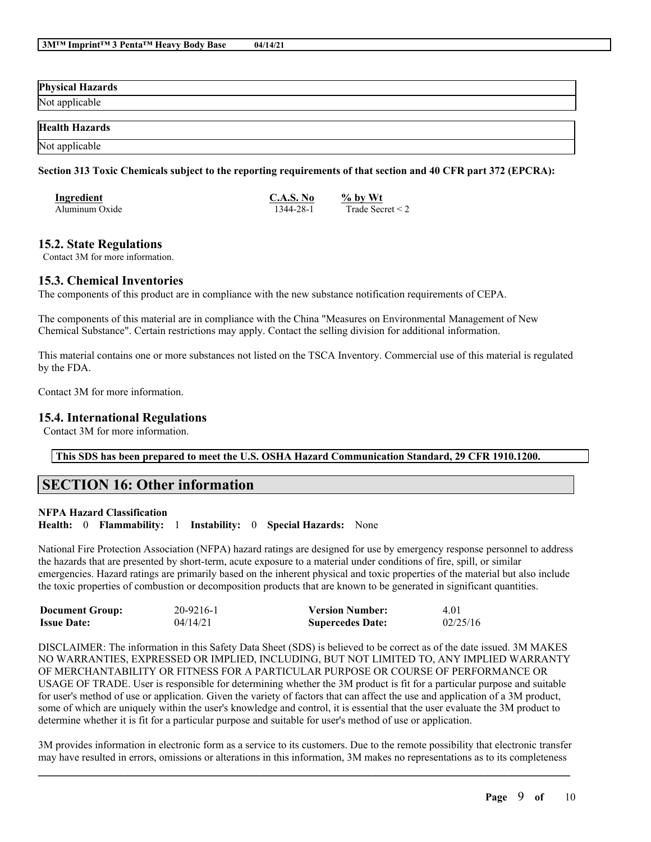| <b>Physical Hazards</b> |  |
|-------------------------|--|
| Not applicable          |  |
|                         |  |
| <b>Health Hazards</b>   |  |

# Section 313 Toxic Chemicals subject to the reporting requirements of that section and 40 CFR part 372 (EPCRA):

| Ingredient     | C.A.S. No | $%$ by Wt             |
|----------------|-----------|-----------------------|
| Aluminum Oxide | 1344-28-1 | Trade Secret $\leq$ 2 |

# **15.2. State Regulations**

Not applicable

Contact 3M for more information.

# **15.3. Chemical Inventories**

The components of this product are in compliance with the new substance notification requirements of CEPA.

The components of this material are in compliance with the China "Measures on Environmental Management of New Chemical Substance". Certain restrictions may apply. Contact the selling division for additional information.

This material contains one or more substances not listed on the TSCA Inventory. Commercial use of this material is regulated by the FDA.

Contact 3M for more information.

# **15.4. International Regulations**

Contact 3M for more information.

# **This SDS has been prepared to meet the U.S. OSHA Hazard Communication Standard, 29 CFR 1910.1200.**

# **SECTION 16: Other information**

#### **NFPA Hazard Classification**

**Health:** 0 **Flammability:** 1 **Instability:** 0 **Special Hazards:** None

National Fire Protection Association (NFPA) hazard ratings are designed for use by emergency response personnel to address the hazards that are presented by short-term, acute exposure to a material under conditions of fire, spill, or similar emergencies. Hazard ratings are primarily based on the inherent physical and toxic properties of the material but also include the toxic properties of combustion or decomposition products that are known to be generated in significant quantities.

| <b>Document Group:</b> | 20-9216-1 | <b>Version Number:</b>  | 4.01     |
|------------------------|-----------|-------------------------|----------|
| <b>Issue Date:</b>     | 04/14/21  | <b>Supercedes Date:</b> | 02/25/16 |

DISCLAIMER: The information in this Safety Data Sheet (SDS) is believed to be correct as of the date issued. 3M MAKES NO WARRANTIES, EXPRESSED OR IMPLIED, INCLUDING, BUT NOT LIMITED TO, ANY IMPLIED WARRANTY OF MERCHANTABILITY OR FITNESS FOR A PARTICULAR PURPOSE OR COURSE OF PERFORMANCE OR USAGE OF TRADE. User is responsible for determining whether the 3M product is fit for a particular purpose and suitable for user's method of use or application. Given the variety of factors that can affect the use and application of a 3M product, some of which are uniquely within the user's knowledge and control, it is essential that the user evaluate the 3M product to determine whether it is fit for a particular purpose and suitable for user's method of use or application.

 $\mathcal{L}_\mathcal{L} = \mathcal{L}_\mathcal{L} = \mathcal{L}_\mathcal{L} = \mathcal{L}_\mathcal{L} = \mathcal{L}_\mathcal{L} = \mathcal{L}_\mathcal{L} = \mathcal{L}_\mathcal{L} = \mathcal{L}_\mathcal{L} = \mathcal{L}_\mathcal{L} = \mathcal{L}_\mathcal{L} = \mathcal{L}_\mathcal{L} = \mathcal{L}_\mathcal{L} = \mathcal{L}_\mathcal{L} = \mathcal{L}_\mathcal{L} = \mathcal{L}_\mathcal{L} = \mathcal{L}_\mathcal{L} = \mathcal{L}_\mathcal{L}$ 3M provides information in electronic form as a service to its customers. Due to the remote possibility that electronic transfer may have resulted in errors, omissions or alterations in this information, 3M makes no representations as to its completeness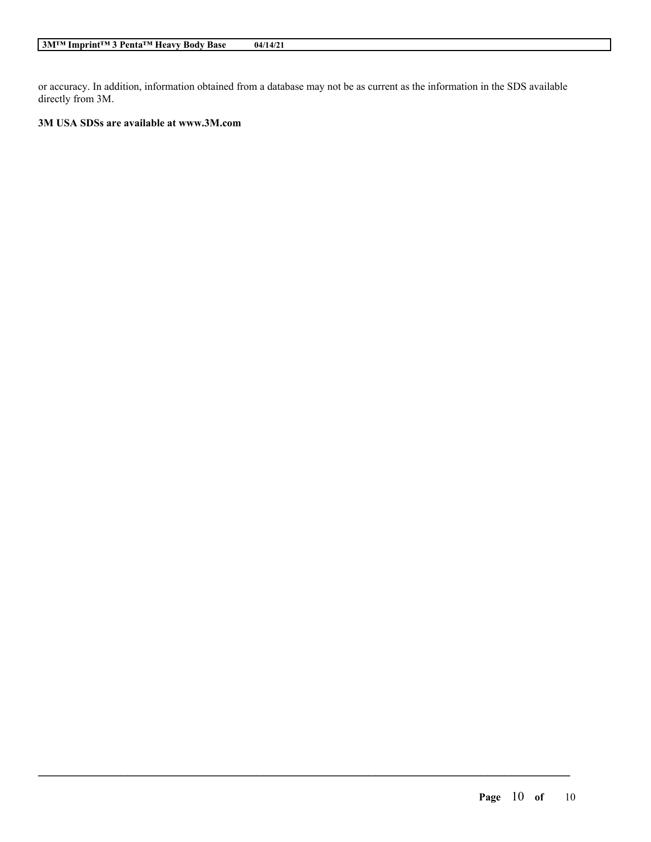or accuracy. In addition, information obtained from a database may not be as current as the information in the SDS available directly from 3M.

 $\mathcal{L}_\mathcal{L} = \mathcal{L}_\mathcal{L} = \mathcal{L}_\mathcal{L} = \mathcal{L}_\mathcal{L} = \mathcal{L}_\mathcal{L} = \mathcal{L}_\mathcal{L} = \mathcal{L}_\mathcal{L} = \mathcal{L}_\mathcal{L} = \mathcal{L}_\mathcal{L} = \mathcal{L}_\mathcal{L} = \mathcal{L}_\mathcal{L} = \mathcal{L}_\mathcal{L} = \mathcal{L}_\mathcal{L} = \mathcal{L}_\mathcal{L} = \mathcal{L}_\mathcal{L} = \mathcal{L}_\mathcal{L} = \mathcal{L}_\mathcal{L}$ 

# **3M USA SDSs are available at www.3M.com**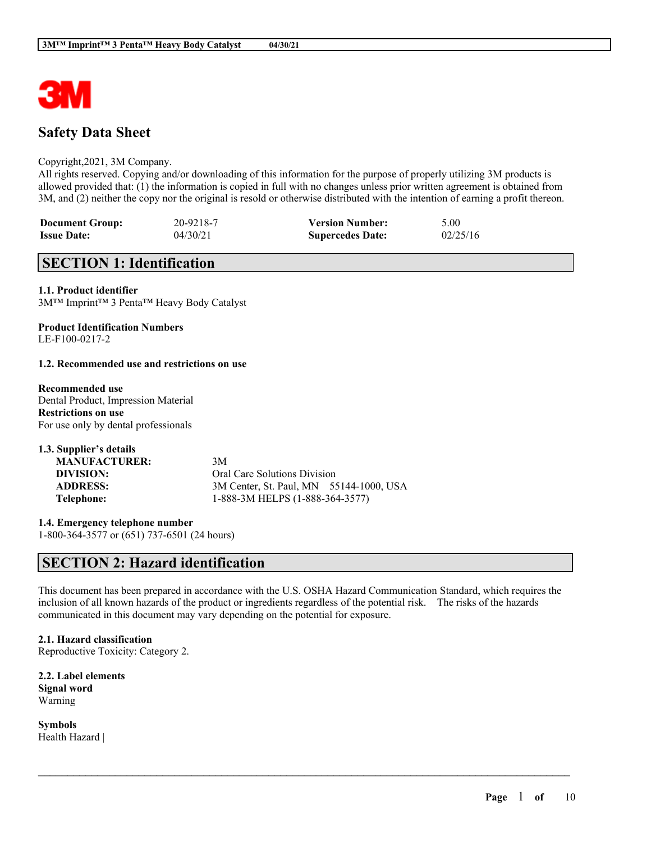

# **Safety Data Sheet**

#### Copyright,2021, 3M Company.

All rights reserved. Copying and/or downloading of this information for the purpose of properly utilizing 3M products is allowed provided that: (1) the information is copied in full with no changes unless prior written agreement is obtained from 3M, and (2) neither the copy nor the original is resold or otherwise distributed with the intention of earning a profit thereon.

| <b>Document Group:</b> | 20-9218-7 | <b>Version Number:</b>  | 5.00     |
|------------------------|-----------|-------------------------|----------|
| <b>Issue Date:</b>     | 04/30/21  | <b>Supercedes Date:</b> | 02/25/16 |

# **SECTION 1: Identification**

**1.1. Product identifier** 3M™ Imprint™ 3 Penta™ Heavy Body Catalyst

#### **Product Identification Numbers** LE-F100-0217-2

#### **1.2. Recommended use and restrictions on use**

**Recommended use** Dental Product, Impression Material **Restrictions on use** For use only by dental professionals

| 1.3. Supplier's details |                                         |
|-------------------------|-----------------------------------------|
| <b>MANUFACTURER:</b>    | 3M                                      |
| DIVISION:               | Oral Care Solutions Division            |
| <b>ADDRESS:</b>         | 3M Center, St. Paul, MN 55144-1000, USA |
| Telephone:              | 1-888-3M HELPS (1-888-364-3577)         |

**1.4. Emergency telephone number** 1-800-364-3577 or (651) 737-6501 (24 hours)

# **SECTION 2: Hazard identification**

This document has been prepared in accordance with the U.S. OSHA Hazard Communication Standard, which requires the inclusion of all known hazards of the product or ingredients regardless of the potential risk. The risks of the hazards communicated in this document may vary depending on the potential for exposure.

 $\mathcal{L}_\mathcal{L} = \mathcal{L}_\mathcal{L} = \mathcal{L}_\mathcal{L} = \mathcal{L}_\mathcal{L} = \mathcal{L}_\mathcal{L} = \mathcal{L}_\mathcal{L} = \mathcal{L}_\mathcal{L} = \mathcal{L}_\mathcal{L} = \mathcal{L}_\mathcal{L} = \mathcal{L}_\mathcal{L} = \mathcal{L}_\mathcal{L} = \mathcal{L}_\mathcal{L} = \mathcal{L}_\mathcal{L} = \mathcal{L}_\mathcal{L} = \mathcal{L}_\mathcal{L} = \mathcal{L}_\mathcal{L} = \mathcal{L}_\mathcal{L}$ 

**2.1. Hazard classification** Reproductive Toxicity: Category 2.

**2.2. Label elements Signal word** Warning

**Symbols** Health Hazard |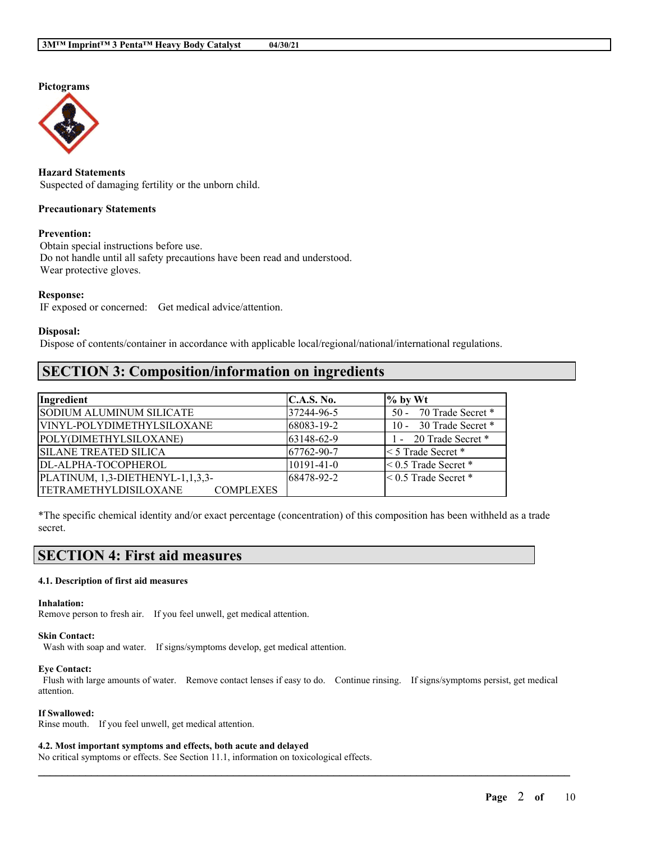# **Pictograms**



**Hazard Statements** Suspected of damaging fertility or the unborn child.

## **Precautionary Statements**

## **Prevention:**

Obtain special instructions before use. Do not handle until all safety precautions have been read and understood. Wear protective gloves.

#### **Response:**

IF exposed or concerned: Get medical advice/attention.

#### **Disposal:**

Dispose of contents/container in accordance with applicable local/regional/national/international regulations.

# **SECTION 3: Composition/information on ingredients**

| Ingredient                                       | C.A.S. No.       | $\%$ by Wt                  |
|--------------------------------------------------|------------------|-----------------------------|
| SODIUM ALUMINUM SILICATE                         | 37244-96-5       | 50 - 70 Trade Secret *      |
| VINYL-POLYDIMETHYLSILOXANE                       | 68083-19-2       | 10 - 30 Trade Secret *      |
| POLY(DIMETHYLSILOXANE)                           | 63148-62-9       | 1 - 20 Trade Secret *       |
| <b>SILANE TREATED SILICA</b>                     | 67762-90-7       | $\leq$ 5 Trade Secret $*$   |
| DL-ALPHA-TOCOPHEROL                              | $10191 - 41 - 0$ | $\leq 0.5$ Trade Secret $*$ |
| PLATINUM, 1,3-DIETHENYL-1,1,3,3-                 | 68478-92-2       | $< 0.5$ Trade Secret $*$    |
| <b>TETRAMETHYLDISILOXANE</b><br><b>COMPLEXES</b> |                  |                             |

\*The specific chemical identity and/or exact percentage (concentration) of this composition has been withheld as a trade secret.

# **SECTION 4: First aid measures**

#### **4.1. Description of first aid measures**

#### **Inhalation:**

Remove person to fresh air. If you feel unwell, get medical attention.

#### **Skin Contact:**

Wash with soap and water. If signs/symptoms develop, get medical attention.

#### **Eye Contact:**

Flush with large amounts of water. Remove contact lenses if easy to do. Continue rinsing. If signs/symptoms persist, get medical attention.

 $\mathcal{L}_\mathcal{L} = \mathcal{L}_\mathcal{L} = \mathcal{L}_\mathcal{L} = \mathcal{L}_\mathcal{L} = \mathcal{L}_\mathcal{L} = \mathcal{L}_\mathcal{L} = \mathcal{L}_\mathcal{L} = \mathcal{L}_\mathcal{L} = \mathcal{L}_\mathcal{L} = \mathcal{L}_\mathcal{L} = \mathcal{L}_\mathcal{L} = \mathcal{L}_\mathcal{L} = \mathcal{L}_\mathcal{L} = \mathcal{L}_\mathcal{L} = \mathcal{L}_\mathcal{L} = \mathcal{L}_\mathcal{L} = \mathcal{L}_\mathcal{L}$ 

#### **If Swallowed:**

Rinse mouth. If you feel unwell, get medical attention.

#### **4.2. Most important symptoms and effects, both acute and delayed**

No critical symptoms or effects. See Section 11.1, information on toxicological effects.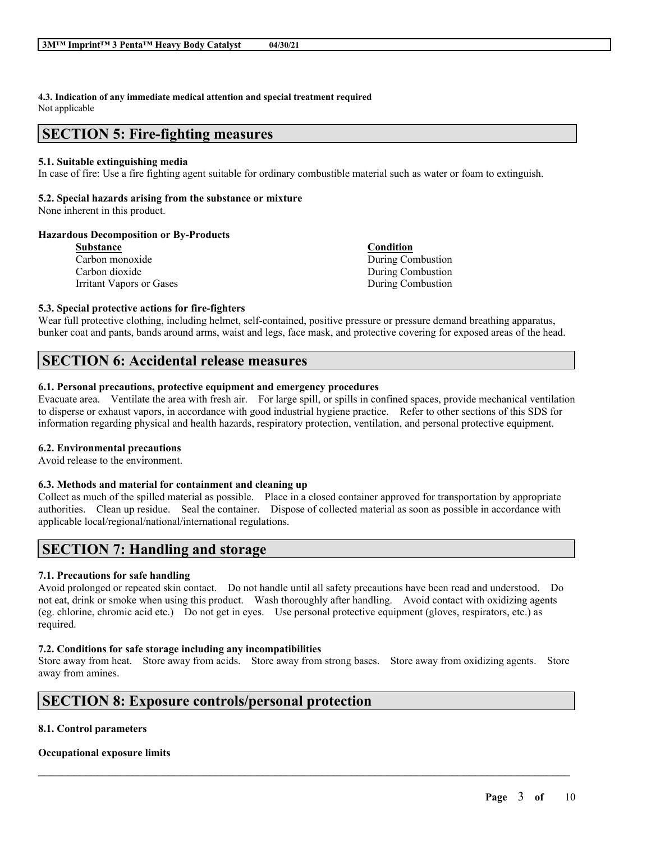**4.3. Indication of any immediate medical attention and special treatment required** Not applicable

# **SECTION 5: Fire-fighting measures**

## **5.1. Suitable extinguishing media**

In case of fire: Use a fire fighting agent suitable for ordinary combustible material such as water or foam to extinguish.

## **5.2. Special hazards arising from the substance or mixture**

None inherent in this product.

### **Hazardous Decomposition or By-Products**

| Condition         |
|-------------------|
| During Combustion |
| During Combustion |
| During Combustion |
|                   |

## **5.3. Special protective actions for fire-fighters**

Wear full protective clothing, including helmet, self-contained, positive pressure or pressure demand breathing apparatus, bunker coat and pants, bands around arms, waist and legs, face mask, and protective covering for exposed areas of the head.

# **SECTION 6: Accidental release measures**

### **6.1. Personal precautions, protective equipment and emergency procedures**

Evacuate area. Ventilate the area with fresh air. For large spill, or spills in confined spaces, provide mechanical ventilation to disperse or exhaust vapors, in accordance with good industrial hygiene practice. Refer to other sections of this SDS for information regarding physical and health hazards, respiratory protection, ventilation, and personal protective equipment.

## **6.2. Environmental precautions**

Avoid release to the environment.

## **6.3. Methods and material for containment and cleaning up**

Collect as much of the spilled material as possible. Place in a closed container approved for transportation by appropriate authorities. Clean up residue. Seal the container. Dispose of collected material as soon as possible in accordance with applicable local/regional/national/international regulations.

# **SECTION 7: Handling and storage**

## **7.1. Precautions for safe handling**

Avoid prolonged or repeated skin contact. Do not handle until all safety precautions have been read and understood. Do not eat, drink or smoke when using this product. Wash thoroughly after handling. Avoid contact with oxidizing agents (eg. chlorine, chromic acid etc.) Do not get in eyes. Use personal protective equipment (gloves, respirators, etc.) as required.

# **7.2. Conditions for safe storage including any incompatibilities**

Store away from heat. Store away from acids. Store away from strong bases. Store away from oxidizing agents. Store away from amines.

 $\mathcal{L}_\mathcal{L} = \mathcal{L}_\mathcal{L} = \mathcal{L}_\mathcal{L} = \mathcal{L}_\mathcal{L} = \mathcal{L}_\mathcal{L} = \mathcal{L}_\mathcal{L} = \mathcal{L}_\mathcal{L} = \mathcal{L}_\mathcal{L} = \mathcal{L}_\mathcal{L} = \mathcal{L}_\mathcal{L} = \mathcal{L}_\mathcal{L} = \mathcal{L}_\mathcal{L} = \mathcal{L}_\mathcal{L} = \mathcal{L}_\mathcal{L} = \mathcal{L}_\mathcal{L} = \mathcal{L}_\mathcal{L} = \mathcal{L}_\mathcal{L}$ 

# **SECTION 8: Exposure controls/personal protection**

## **8.1. Control parameters**

## **Occupational exposure limits**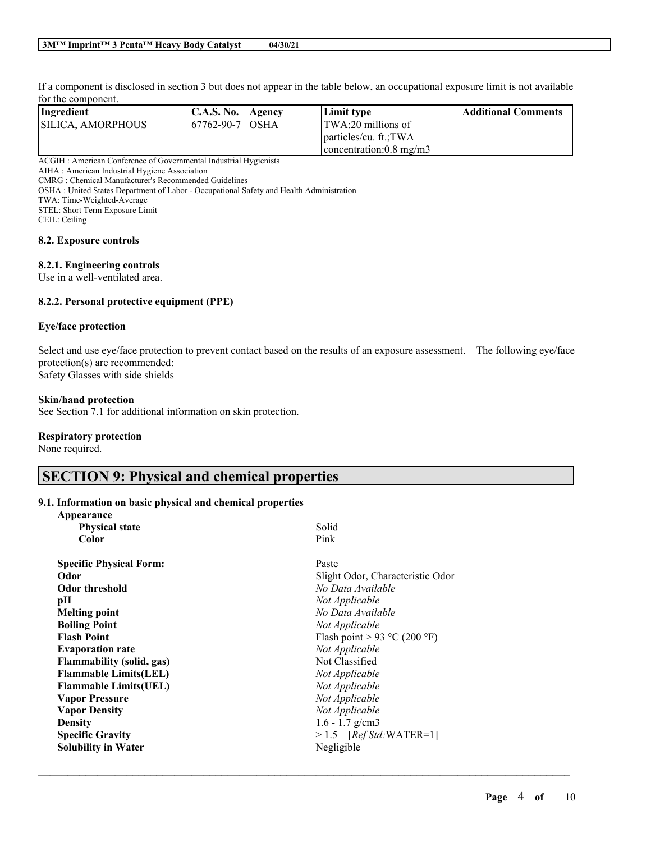If a component is disclosed in section 3 but does not appear in the table below, an occupational exposure limit is not available for the component.

| Ingredient        | C.A.S. No.   Agency | Limit tvpe                      | Additional Comments |
|-------------------|---------------------|---------------------------------|---------------------|
| SILICA. AMORPHOUS | 167762-90-7 IOSHA   | $ITWA:20$ millions of           |                     |
|                   |                     | particles/cu. ft.:TWA           |                     |
|                   |                     | $\sim$ concentration: 0.8 mg/m3 |                     |

ACGIH : American Conference of Governmental Industrial Hygienists

AIHA : American Industrial Hygiene Association

CMRG : Chemical Manufacturer's Recommended Guidelines

OSHA : United States Department of Labor - Occupational Safety and Health Administration

TWA: Time-Weighted-Average

STEL: Short Term Exposure Limit

CEIL: Ceiling

#### **8.2. Exposure controls**

#### **8.2.1. Engineering controls**

Use in a well-ventilated area.

### **8.2.2. Personal protective equipment (PPE)**

#### **Eye/face protection**

Select and use eye/face protection to prevent contact based on the results of an exposure assessment. The following eye/face protection(s) are recommended: Safety Glasses with side shields

#### **Skin/hand protection**

See Section 7.1 for additional information on skin protection.

#### **Respiratory protection**

**Appearance**

None required.

# **SECTION 9: Physical and chemical properties**

## **9.1. Information on basic physical and chemical properties**

| дрреагансе                       |                                  |
|----------------------------------|----------------------------------|
| <b>Physical state</b>            | Solid                            |
| Color                            | Pink                             |
| <b>Specific Physical Form:</b>   | Paste                            |
| Odor                             | Slight Odor, Characteristic Odor |
| <b>Odor threshold</b>            | No Data Available                |
| pН                               | Not Applicable                   |
| <b>Melting point</b>             | No Data Available                |
| <b>Boiling Point</b>             | Not Applicable                   |
| <b>Flash Point</b>               | Flash point > 93 °C (200 °F)     |
| <b>Evaporation rate</b>          | Not Applicable                   |
| <b>Flammability (solid, gas)</b> | Not Classified                   |
| <b>Flammable Limits(LEL)</b>     | Not Applicable                   |
| <b>Flammable Limits(UEL)</b>     | Not Applicable                   |
| <b>Vapor Pressure</b>            | Not Applicable                   |
| <b>Vapor Density</b>             | Not Applicable                   |
| <b>Density</b>                   | $1.6 - 1.7$ g/cm3                |
| <b>Specific Gravity</b>          | $> 1.5$ [Ref Std:WATER=1]        |
| <b>Solubility in Water</b>       | Negligible                       |
|                                  |                                  |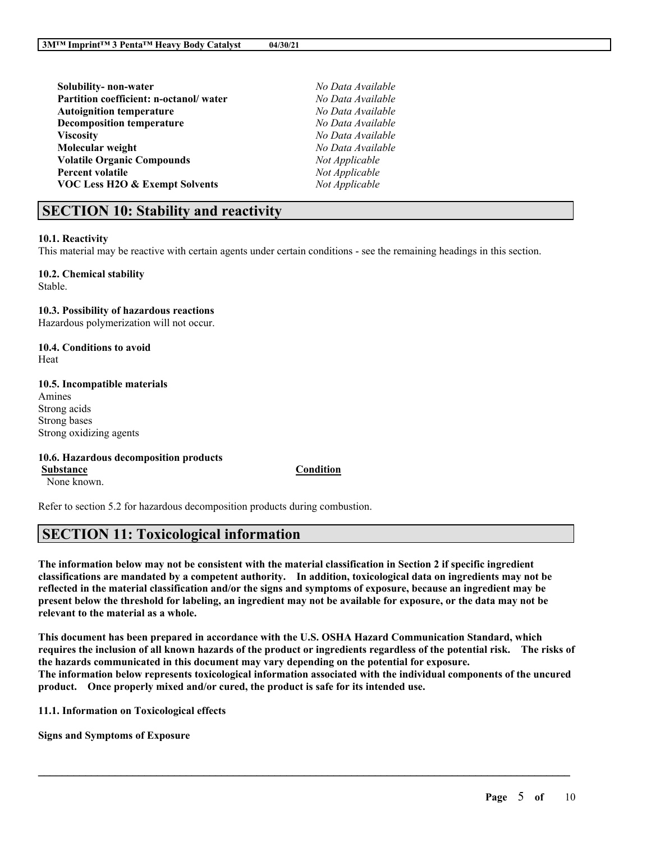| Solubility- non-water                     | No Data Available |
|-------------------------------------------|-------------------|
| Partition coefficient: n-octanol/water    | No Data Available |
| <b>Autoignition temperature</b>           | No Data Available |
| <b>Decomposition temperature</b>          | No Data Available |
| <b>Viscosity</b>                          | No Data Available |
| Molecular weight                          | No Data Available |
| <b>Volatile Organic Compounds</b>         | Not Applicable    |
| <b>Percent volatile</b>                   | Not Applicable    |
| <b>VOC Less H2O &amp; Exempt Solvents</b> | Not Applicable    |
|                                           |                   |

# **SECTION 10: Stability and reactivity**

#### **10.1. Reactivity**

This material may be reactive with certain agents under certain conditions - see the remaining headings in this section.

**10.2. Chemical stability** Stable.

**10.3. Possibility of hazardous reactions**

Hazardous polymerization will not occur.

**10.4. Conditions to avoid** Heat

#### **10.5. Incompatible materials**

Amines Strong acids Strong bases Strong oxidizing agents

#### **10.6. Hazardous decomposition products**

**Substance Condition**

None known.

Refer to section 5.2 for hazardous decomposition products during combustion.

# **SECTION 11: Toxicological information**

The information below may not be consistent with the material classification in Section 2 if specific ingredient **classifications are mandated by a competent authority. In addition, toxicological data on ingredients may not be** reflected in the material classification and/or the signs and symptoms of exposure, because an ingredient may be present below the threshold for labeling, an ingredient may not be available for exposure, or the data may not be **relevant to the material as a whole.**

**This document has been prepared in accordance with the U.S. OSHA Hazard Communication Standard, which** requires the inclusion of all known hazards of the product or ingredients regardless of the potential risk. The risks of **the hazards communicated in this document may vary depending on the potential for exposure. The information below represents toxicological information associated with the individual components of the uncured product. Once properly mixed and/or cured, the product is safe for its intended use.**

 $\mathcal{L}_\mathcal{L} = \mathcal{L}_\mathcal{L} = \mathcal{L}_\mathcal{L} = \mathcal{L}_\mathcal{L} = \mathcal{L}_\mathcal{L} = \mathcal{L}_\mathcal{L} = \mathcal{L}_\mathcal{L} = \mathcal{L}_\mathcal{L} = \mathcal{L}_\mathcal{L} = \mathcal{L}_\mathcal{L} = \mathcal{L}_\mathcal{L} = \mathcal{L}_\mathcal{L} = \mathcal{L}_\mathcal{L} = \mathcal{L}_\mathcal{L} = \mathcal{L}_\mathcal{L} = \mathcal{L}_\mathcal{L} = \mathcal{L}_\mathcal{L}$ 

**11.1. Information on Toxicological effects**

**Signs and Symptoms of Exposure**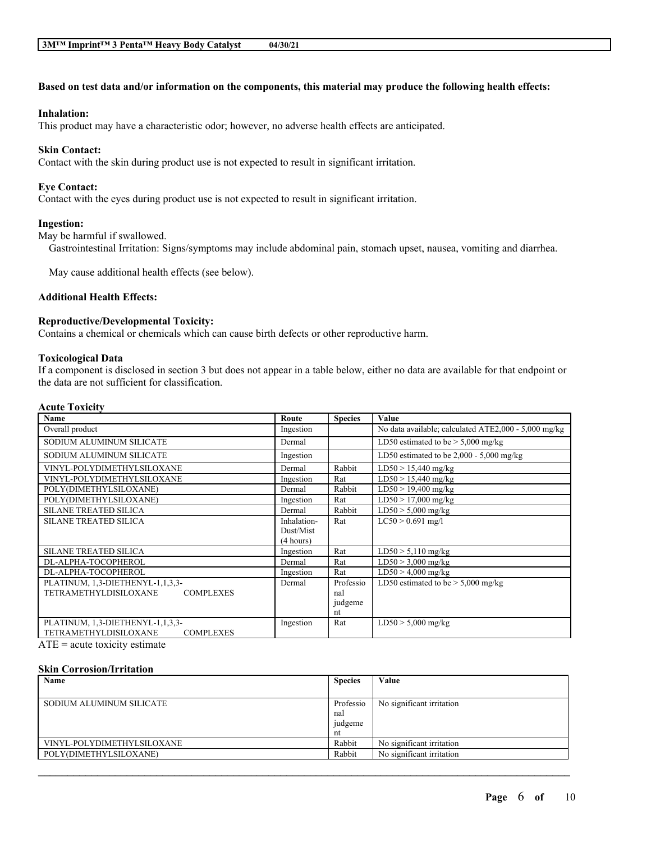## Based on test data and/or information on the components, this material may produce the following health effects:

#### **Inhalation:**

This product may have a characteristic odor; however, no adverse health effects are anticipated.

#### **Skin Contact:**

Contact with the skin during product use is not expected to result in significant irritation.

#### **Eye Contact:**

Contact with the eyes during product use is not expected to result in significant irritation.

#### **Ingestion:**

May be harmful if swallowed.

Gastrointestinal Irritation: Signs/symptoms may include abdominal pain, stomach upset, nausea, vomiting and diarrhea.

May cause additional health effects (see below).

#### **Additional Health Effects:**

#### **Reproductive/Developmental Toxicity:**

Contains a chemical or chemicals which can cause birth defects or other reproductive harm.

#### **Toxicological Data**

If a component is disclosed in section 3 but does not appear in a table below, either no data are available for that endpoint or the data are not sufficient for classification.

#### **Acute Toxicity**

| <b>Name</b>                                      | Route       | <b>Species</b> | Value                                                |
|--------------------------------------------------|-------------|----------------|------------------------------------------------------|
| Overall product                                  | Ingestion   |                | No data available; calculated ATE2,000 - 5,000 mg/kg |
| SODIUM ALUMINUM SILICATE                         | Dermal      |                | LD50 estimated to be $> 5,000$ mg/kg                 |
| SODIUM ALUMINUM SILICATE                         | Ingestion   |                | LD50 estimated to be $2,000 - 5,000$ mg/kg           |
| VINYL-POLYDIMETHYLSILOXANE                       | Dermal      | Rabbit         | $LD50 > 15,440$ mg/kg                                |
| VINYL-POLYDIMETHYLSILOXANE                       | Ingestion   | Rat            | $LD50 > 15,440$ mg/kg                                |
| POLY(DIMETHYLSILOXANE)                           | Dermal      | Rabbit         | $LD50 > 19,400$ mg/kg                                |
| POLY(DIMETHYLSILOXANE)                           | Ingestion   | Rat            | $LD50 > 17,000$ mg/kg                                |
| <b>SILANE TREATED SILICA</b>                     | Dermal      | Rabbit         | $LD50 > 5,000$ mg/kg                                 |
| <b>SILANE TREATED SILICA</b>                     | Inhalation- | Rat            | $LC50 > 0.691$ mg/l                                  |
|                                                  | Dust/Mist   |                |                                                      |
|                                                  | (4 hours)   |                |                                                      |
| <b>SILANE TREATED SILICA</b>                     | Ingestion   | Rat            | $LD50 > 5,110$ mg/kg                                 |
| DL-ALPHA-TOCOPHEROL                              | Dermal      | Rat            | $\overline{\text{LD}}$ 50 > 3,000 mg/kg              |
| DL-ALPHA-TOCOPHEROL                              | Ingestion   | Rat            | $LD50 > 4,000$ mg/kg                                 |
| PLATINUM, 1,3-DIETHENYL-1,1,3,3-                 | Dermal      | Professio      | LD50 estimated to be $> 5,000$ mg/kg                 |
| <b>TETRAMETHYLDISILOXANE</b><br><b>COMPLEXES</b> |             | nal            |                                                      |
|                                                  |             | judgeme        |                                                      |
|                                                  |             | nt             |                                                      |
| PLATINUM, 1,3-DIETHENYL-1,1,3,3-                 | Ingestion   | Rat            | $LD50 > 5,000$ mg/kg                                 |
| <b>TETRAMETHYLDISILOXANE</b><br><b>COMPLEXES</b> |             |                |                                                      |

 $ATE = acute$  toxicity estimate

#### **Skin Corrosion/Irritation**

| Name                       | <b>Species</b> | Value                     |
|----------------------------|----------------|---------------------------|
|                            |                |                           |
| SODIUM ALUMINUM SILICATE   | Professio      | No significant irritation |
|                            | nal            |                           |
|                            | judgeme        |                           |
|                            | nt             |                           |
| VINYL-POLYDIMETHYLSILOXANE | Rabbit         | No significant irritation |
| POLY(DIMETHYLSILOXANE)     | Rabbit         | No significant irritation |
|                            |                |                           |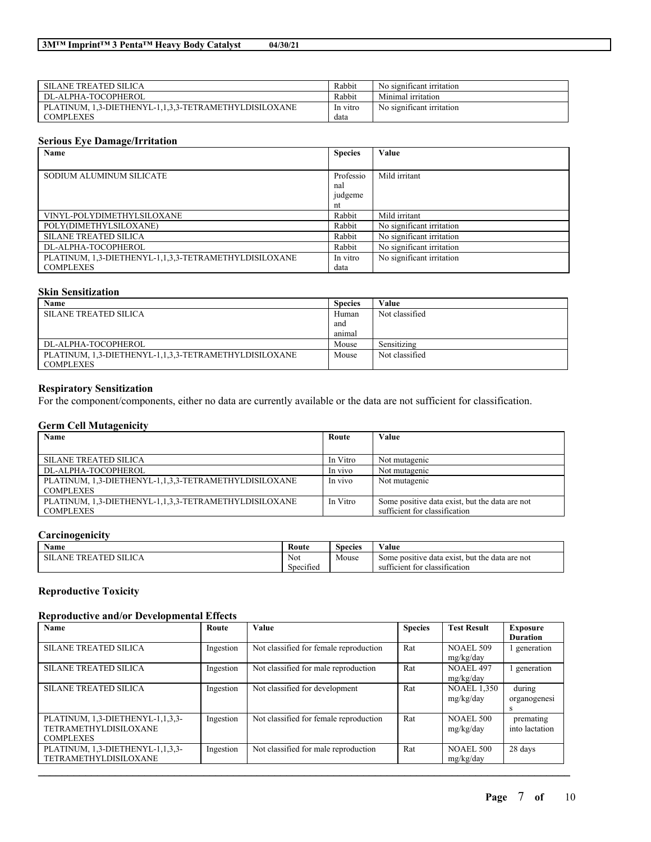| SILANE TREATED SILICA                                 | Rabbit   | No significant irritation |
|-------------------------------------------------------|----------|---------------------------|
| DL-ALPHA-TOCOPHEROL                                   | Rabbit   | Minimal irritation        |
| PLATINUM, 1,3-DIETHENYL-1,1,3,3-TETRAMETHYLDISILOXANE | In vitro | No significant irritation |
| COMPLEXES                                             | data     |                           |

# **Serious Eye Damage/Irritation**

| Name                                                  | <b>Species</b> | Value                     |
|-------------------------------------------------------|----------------|---------------------------|
|                                                       |                |                           |
| SODIUM ALUMINUM SILICATE                              | Professio      | Mild irritant             |
|                                                       | nal            |                           |
|                                                       | judgeme        |                           |
|                                                       | nt             |                           |
| VINYL-POLYDIMETHYLSILOXANE                            | Rabbit         | Mild irritant             |
| POLY(DIMETHYLSILOXANE)                                | Rabbit         | No significant irritation |
| <b>SILANE TREATED SILICA</b>                          | Rabbit         | No significant irritation |
| DL-ALPHA-TOCOPHEROL                                   | Rabbit         | No significant irritation |
| PLATINUM, 1,3-DIETHENYL-1,1,3,3-TETRAMETHYLDISILOXANE | In vitro       | No significant irritation |
| <b>COMPLEXES</b>                                      | data           |                           |

#### **Skin Sensitization**

| Name                                                  | <b>Species</b> | Value          |
|-------------------------------------------------------|----------------|----------------|
| SILANE TREATED SILICA                                 | Human          | Not classified |
|                                                       | and            |                |
|                                                       | animal         |                |
| DL-ALPHA-TOCOPHEROL                                   | Mouse          | Sensitizing    |
| PLATINUM, 1,3-DIETHENYL-1,1,3,3-TETRAMETHYLDISILOXANE | Mouse          | Not classified |
| <b>COMPLEXES</b>                                      |                |                |

## **Respiratory Sensitization**

For the component/components, either no data are currently available or the data are not sufficient for classification.

## **Germ Cell Mutagenicity**

| Name                                                  | Route    | Value                                          |
|-------------------------------------------------------|----------|------------------------------------------------|
|                                                       |          |                                                |
| <b>SILANE TREATED SILICA</b>                          | In Vitro | Not mutagenic                                  |
| DL-ALPHA-TOCOPHEROL                                   | In vivo  | Not mutagenic                                  |
| PLATINUM, 1,3-DIETHENYL-1,1,3,3-TETRAMETHYLDISILOXANE | In vivo  | Not mutagenic                                  |
| <b>COMPLEXES</b>                                      |          |                                                |
| PLATINUM, 1,3-DIETHENYL-1,1,3,3-TETRAMETHYLDISILOXANE | In Vitro | Some positive data exist, but the data are not |
| <b>COMPLEXES</b>                                      |          | sufficient for classification                  |

# **Carcinogenicity**

| $\rightarrow$<br>Name                                | Route                                | $\sim$<br><b>WY</b><br>Value<br>Species |                                                           |  |
|------------------------------------------------------|--------------------------------------|-----------------------------------------|-----------------------------------------------------------|--|
| SILICA<br>CГ<br><b>TRF</b><br><b>TIT</b><br>ANE<br>м | Not                                  | Mouse                                   | but the<br>e data exist.<br>data are not<br>Some positive |  |
|                                                      | $\sim$<br>$\sim$ $\sim$<br>Specified |                                         | . .<br>classification<br>sufficient for                   |  |

# **Reproductive Toxicity**

## **Reproductive and/or Developmental Effects**

| Name                                                                                 | Route     | <b>Value</b>                           | <b>Species</b> | <b>Test Result</b>              | Exposure<br><b>Duration</b> |
|--------------------------------------------------------------------------------------|-----------|----------------------------------------|----------------|---------------------------------|-----------------------------|
| <b>SILANE TREATED SILICA</b>                                                         | Ingestion | Not classified for female reproduction | Rat            | <b>NOAEL 509</b><br>mg/kg/day   | l generation                |
| <b>SILANE TREATED SILICA</b>                                                         | Ingestion | Not classified for male reproduction   | Rat            | <b>NOAEL 497</b><br>mg/kg/day   | generation                  |
| <b>SILANE TREATED SILICA</b>                                                         | Ingestion | Not classified for development         | Rat            | <b>NOAEL 1,350</b><br>mg/kg/day | during<br>organogenesi<br>S |
| PLATINUM, 1,3-DIETHENYL-1,1,3,3-<br><b>TETRAMETHYLDISILOXANE</b><br><b>COMPLEXES</b> | Ingestion | Not classified for female reproduction | Rat            | <b>NOAEL 500</b><br>mg/kg/day   | premating<br>into lactation |
| PLATINUM, 1,3-DIETHENYL-1,1,3,3-<br><b>TETRAMETHYLDISILOXANE</b>                     | Ingestion | Not classified for male reproduction   | Rat            | <b>NOAEL 500</b><br>mg/kg/day   | 28 days                     |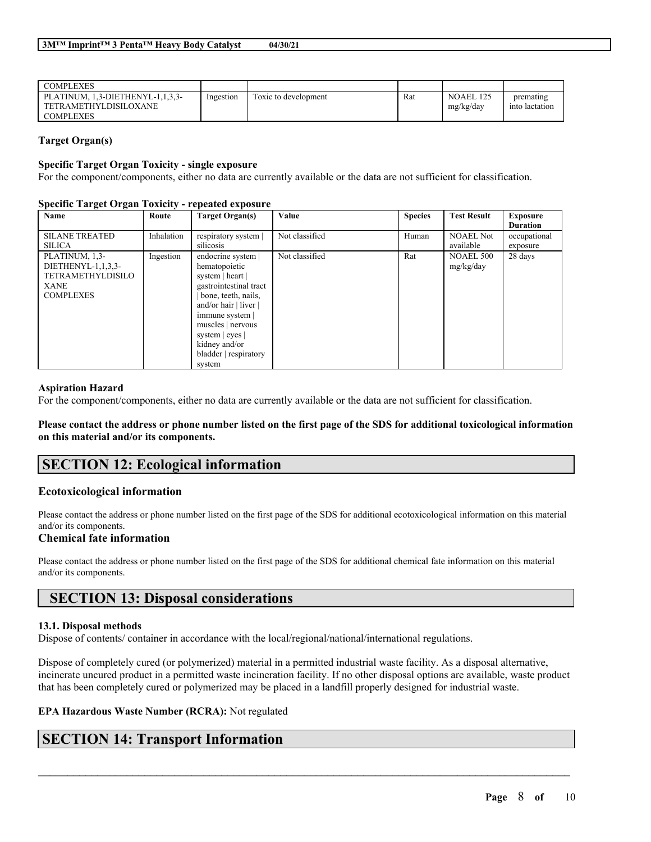| COMPLEXES                        |           |                      |     |                  |                |
|----------------------------------|-----------|----------------------|-----|------------------|----------------|
| PLATINUM, 1,3-DIETHENYL-1,1,3,3- | Ingestion | Toxic to development | Rat | <b>NOAEL 125</b> | premating      |
| TETRAMETHYLDISILOXANE            |           |                      |     | mg/kg/day        | into lactation |
| <b>COMPLEXES</b>                 |           |                      |     |                  |                |

## **Target Organ(s)**

#### **Specific Target Organ Toxicity - single exposure**

For the component/components, either no data are currently available or the data are not sufficient for classification.

#### **Specific Target Organ Toxicity - repeated exposure**

| Name                     | <u>ັ</u> ຟ<br>Route | <b>Target Organ(s)</b>    | Value          | <b>Species</b> | <b>Test Result</b> | <b>Exposure</b> |
|--------------------------|---------------------|---------------------------|----------------|----------------|--------------------|-----------------|
|                          |                     |                           |                |                |                    | <b>Duration</b> |
| <b>SILANE TREATED</b>    | Inhalation          | respiratory system        | Not classified | Human          | <b>NOAEL Not</b>   | occupational    |
| <b>SILICA</b>            |                     | silicosis                 |                |                | available          | exposure        |
| PLATINUM, 1,3-           | Ingestion           | endocrine system          | Not classified | Rat            | <b>NOAEL 500</b>   | 28 days         |
| DIETHENYL-1,1,3,3-       |                     | hematopoietic             |                |                | mg/kg/day          |                 |
| <b>TETRAMETHYLDISILO</b> |                     | system   heart            |                |                |                    |                 |
| <b>XANE</b>              |                     | gastrointestinal tract    |                |                |                    |                 |
| <b>COMPLEXES</b>         |                     | bone, teeth, nails,       |                |                |                    |                 |
|                          |                     | and/or hair $ $ liver $ $ |                |                |                    |                 |
|                          |                     | immune system             |                |                |                    |                 |
|                          |                     | muscles   nervous         |                |                |                    |                 |
|                          |                     | system   eyes             |                |                |                    |                 |
|                          |                     | kidney and/or             |                |                |                    |                 |
|                          |                     | bladder   respiratory     |                |                |                    |                 |
|                          |                     | system                    |                |                |                    |                 |

#### **Aspiration Hazard**

For the component/components, either no data are currently available or the data are not sufficient for classification.

Please contact the address or phone number listed on the first page of the SDS for additional toxicological information **on this material and/or its components.**

# **SECTION 12: Ecological information**

## **Ecotoxicological information**

Please contact the address or phone number listed on the first page of the SDS for additional ecotoxicological information on this material and/or its components.

#### **Chemical fate information**

Please contact the address or phone number listed on the first page of the SDS for additional chemical fate information on this material and/or its components.

# **SECTION 13: Disposal considerations**

#### **13.1. Disposal methods**

Dispose of contents/ container in accordance with the local/regional/national/international regulations.

Dispose of completely cured (or polymerized) material in a permitted industrial waste facility. As a disposal alternative, incinerate uncured product in a permitted waste incineration facility. If no other disposal options are available, waste product that has been completely cured or polymerized may be placed in a landfill properly designed for industrial waste.

 $\mathcal{L}_\mathcal{L} = \mathcal{L}_\mathcal{L} = \mathcal{L}_\mathcal{L} = \mathcal{L}_\mathcal{L} = \mathcal{L}_\mathcal{L} = \mathcal{L}_\mathcal{L} = \mathcal{L}_\mathcal{L} = \mathcal{L}_\mathcal{L} = \mathcal{L}_\mathcal{L} = \mathcal{L}_\mathcal{L} = \mathcal{L}_\mathcal{L} = \mathcal{L}_\mathcal{L} = \mathcal{L}_\mathcal{L} = \mathcal{L}_\mathcal{L} = \mathcal{L}_\mathcal{L} = \mathcal{L}_\mathcal{L} = \mathcal{L}_\mathcal{L}$ 

#### **EPA Hazardous Waste Number (RCRA):** Not regulated

# **SECTION 14: Transport Information**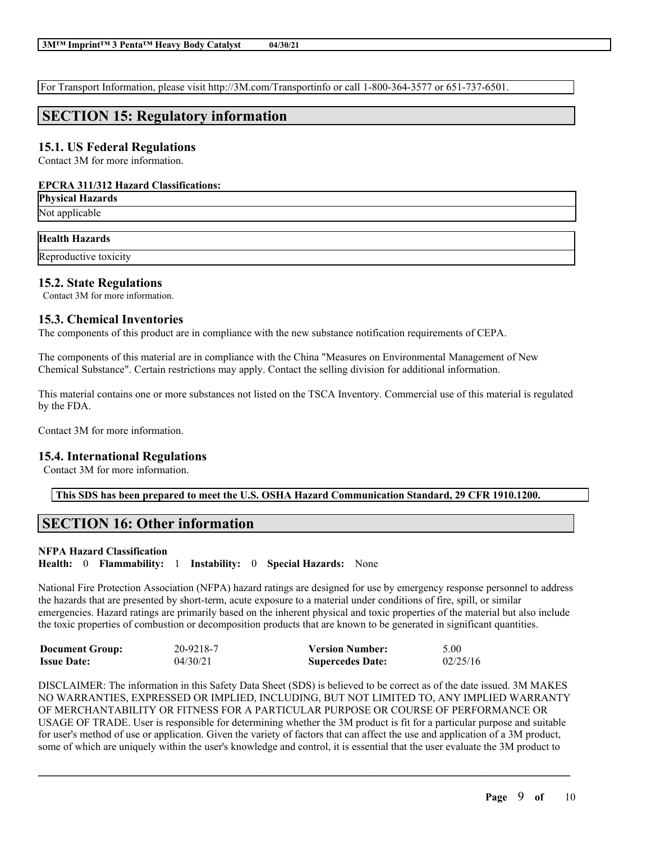For Transport Information, please visit http://3M.com/Transportinfo or call 1-800-364-3577 or 651-737-6501.

# **SECTION 15: Regulatory information**

# **15.1. US Federal Regulations**

Contact 3M for more information.

### **EPCRA 311/312 Hazard Classifications:**

**Physical Hazards**

Not applicable

## **Health Hazards**

Reproductive toxicity

# **15.2. State Regulations**

Contact 3M for more information.

## **15.3. Chemical Inventories**

The components of this product are in compliance with the new substance notification requirements of CEPA.

The components of this material are in compliance with the China "Measures on Environmental Management of New Chemical Substance". Certain restrictions may apply. Contact the selling division for additional information.

This material contains one or more substances not listed on the TSCA Inventory. Commercial use of this material is regulated by the FDA.

Contact 3M for more information.

## **15.4. International Regulations**

Contact 3M for more information.

**This SDS has been prepared to meet the U.S. OSHA Hazard Communication Standard, 29 CFR 1910.1200.**

# **SECTION 16: Other information**

## **NFPA Hazard Classification**

**Health:** 0 **Flammability:** 1 **Instability:** 0 **Special Hazards:** None

National Fire Protection Association (NFPA) hazard ratings are designed for use by emergency response personnel to address the hazards that are presented by short-term, acute exposure to a material under conditions of fire, spill, or similar emergencies. Hazard ratings are primarily based on the inherent physical and toxic properties of the material but also include the toxic properties of combustion or decomposition products that are known to be generated in significant quantities.

| <b>Document Group:</b> | 20-9218-7 | <b>Version Number:</b>  | 5.00     |
|------------------------|-----------|-------------------------|----------|
| <b>Issue Date:</b>     | 04/30/21  | <b>Supercedes Date:</b> | 02/25/16 |

DISCLAIMER: The information in this Safety Data Sheet (SDS) is believed to be correct as of the date issued. 3M MAKES NO WARRANTIES, EXPRESSED OR IMPLIED, INCLUDING, BUT NOT LIMITED TO, ANY IMPLIED WARRANTY OF MERCHANTABILITY OR FITNESS FOR A PARTICULAR PURPOSE OR COURSE OF PERFORMANCE OR USAGE OF TRADE. User is responsible for determining whether the 3M product is fit for a particular purpose and suitable for user's method of use or application. Given the variety of factors that can affect the use and application of a 3M product, some of which are uniquely within the user's knowledge and control, it is essential that the user evaluate the 3M product to